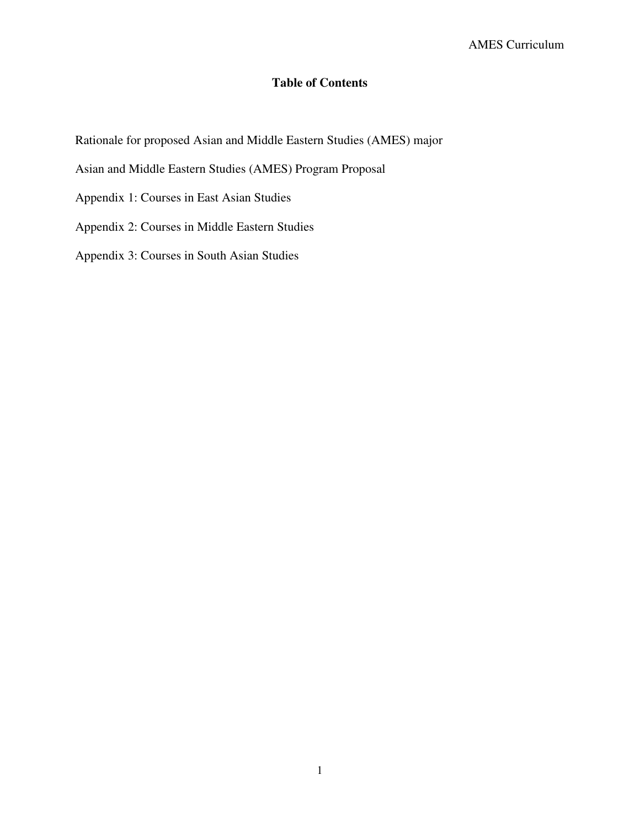# **Table of Contents**

Rationale for proposed Asian and Middle Eastern Studies (AMES) major

Asian and Middle Eastern Studies (AMES) Program Proposal

Appendix 1: Courses in East Asian Studies

Appendix 2: Courses in Middle Eastern Studies

Appendix 3: Courses in South Asian Studies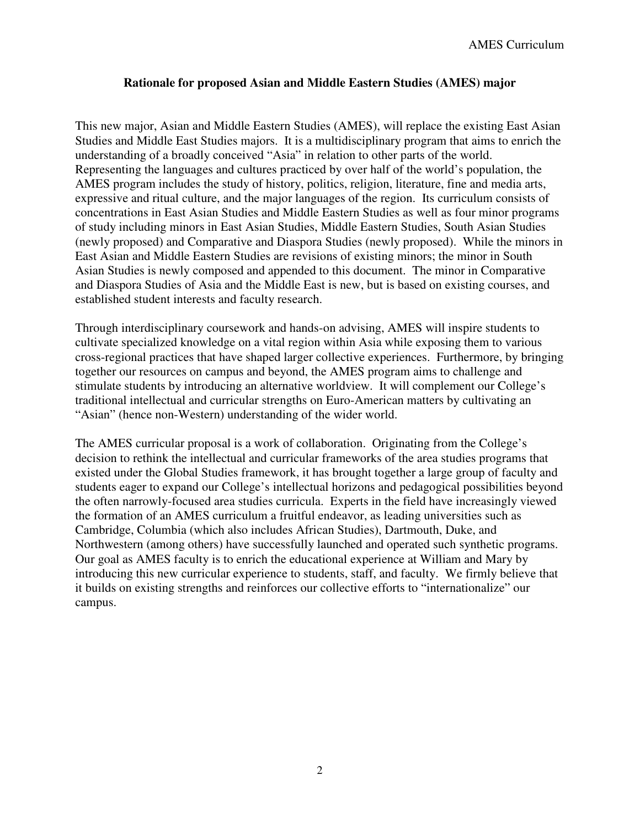### **Rationale for proposed Asian and Middle Eastern Studies (AMES) major**

This new major, Asian and Middle Eastern Studies (AMES), will replace the existing East Asian Studies and Middle East Studies majors. It is a multidisciplinary program that aims to enrich the understanding of a broadly conceived "Asia" in relation to other parts of the world. Representing the languages and cultures practiced by over half of the world's population, the AMES program includes the study of history, politics, religion, literature, fine and media arts, expressive and ritual culture, and the major languages of the region. Its curriculum consists of concentrations in East Asian Studies and Middle Eastern Studies as well as four minor programs of study including minors in East Asian Studies, Middle Eastern Studies, South Asian Studies (newly proposed) and Comparative and Diaspora Studies (newly proposed). While the minors in East Asian and Middle Eastern Studies are revisions of existing minors; the minor in South Asian Studies is newly composed and appended to this document. The minor in Comparative and Diaspora Studies of Asia and the Middle East is new, but is based on existing courses, and established student interests and faculty research.

Through interdisciplinary coursework and hands-on advising, AMES will inspire students to cultivate specialized knowledge on a vital region within Asia while exposing them to various cross-regional practices that have shaped larger collective experiences. Furthermore, by bringing together our resources on campus and beyond, the AMES program aims to challenge and stimulate students by introducing an alternative worldview. It will complement our College's traditional intellectual and curricular strengths on Euro-American matters by cultivating an "Asian" (hence non-Western) understanding of the wider world.

The AMES curricular proposal is a work of collaboration. Originating from the College's decision to rethink the intellectual and curricular frameworks of the area studies programs that existed under the Global Studies framework, it has brought together a large group of faculty and students eager to expand our College's intellectual horizons and pedagogical possibilities beyond the often narrowly-focused area studies curricula. Experts in the field have increasingly viewed the formation of an AMES curriculum a fruitful endeavor, as leading universities such as Cambridge, Columbia (which also includes African Studies), Dartmouth, Duke, and Northwestern (among others) have successfully launched and operated such synthetic programs. Our goal as AMES faculty is to enrich the educational experience at William and Mary by introducing this new curricular experience to students, staff, and faculty. We firmly believe that it builds on existing strengths and reinforces our collective efforts to "internationalize" our campus.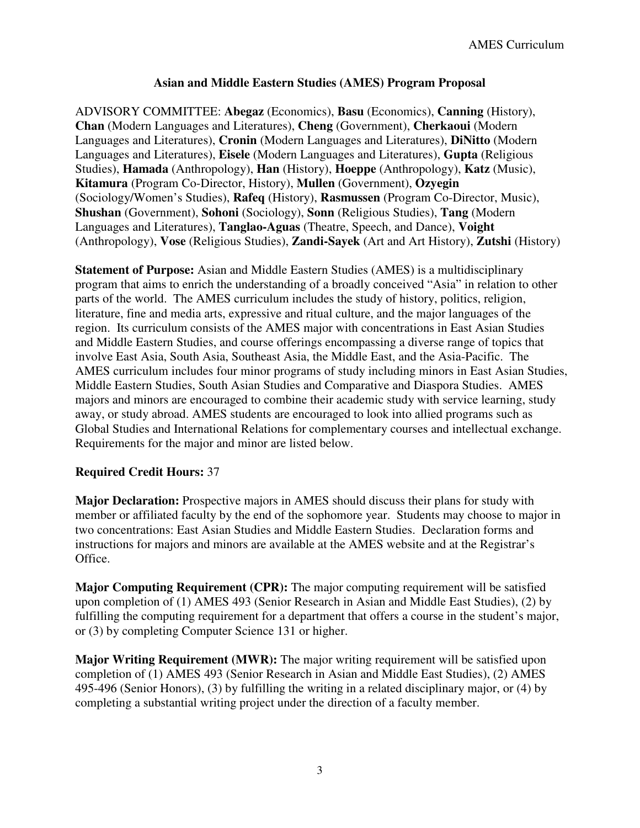## **Asian and Middle Eastern Studies (AMES) Program Proposal**

ADVISORY COMMITTEE: **Abegaz** (Economics), **Basu** (Economics), **Canning** (History), **Chan** (Modern Languages and Literatures), **Cheng** (Government), **Cherkaoui** (Modern Languages and Literatures), **Cronin** (Modern Languages and Literatures), **DiNitto** (Modern Languages and Literatures), **Eisele** (Modern Languages and Literatures), **Gupta** (Religious Studies), **Hamada** (Anthropology), **Han** (History), **Hoeppe** (Anthropology), **Katz** (Music), **Kitamura** (Program Co-Director, History), **Mullen** (Government), **Ozyegin** (Sociology/Women's Studies), **Rafeq** (History), **Rasmussen** (Program Co-Director, Music), **Shushan** (Government), **Sohoni** (Sociology), **Sonn** (Religious Studies), **Tang** (Modern Languages and Literatures), **Tanglao-Aguas** (Theatre, Speech, and Dance), **Voight** (Anthropology), **Vose** (Religious Studies), **Zandi-Sayek** (Art and Art History), **Zutshi** (History)

**Statement of Purpose:** Asian and Middle Eastern Studies (AMES) is a multidisciplinary program that aims to enrich the understanding of a broadly conceived "Asia" in relation to other parts of the world. The AMES curriculum includes the study of history, politics, religion, literature, fine and media arts, expressive and ritual culture, and the major languages of the region. Its curriculum consists of the AMES major with concentrations in East Asian Studies and Middle Eastern Studies, and course offerings encompassing a diverse range of topics that involve East Asia, South Asia, Southeast Asia, the Middle East, and the Asia-Pacific. The AMES curriculum includes four minor programs of study including minors in East Asian Studies, Middle Eastern Studies, South Asian Studies and Comparative and Diaspora Studies. AMES majors and minors are encouraged to combine their academic study with service learning, study away, or study abroad. AMES students are encouraged to look into allied programs such as Global Studies and International Relations for complementary courses and intellectual exchange. Requirements for the major and minor are listed below.

## **Required Credit Hours:** 37

**Major Declaration:** Prospective majors in AMES should discuss their plans for study with member or affiliated faculty by the end of the sophomore year. Students may choose to major in two concentrations: East Asian Studies and Middle Eastern Studies. Declaration forms and instructions for majors and minors are available at the AMES website and at the Registrar's Office.

**Major Computing Requirement (CPR):** The major computing requirement will be satisfied upon completion of (1) AMES 493 (Senior Research in Asian and Middle East Studies), (2) by fulfilling the computing requirement for a department that offers a course in the student's major, or (3) by completing Computer Science 131 or higher.

**Major Writing Requirement (MWR):** The major writing requirement will be satisfied upon completion of (1) AMES 493 (Senior Research in Asian and Middle East Studies), (2) AMES 495-496 (Senior Honors), (3) by fulfilling the writing in a related disciplinary major, or (4) by completing a substantial writing project under the direction of a faculty member.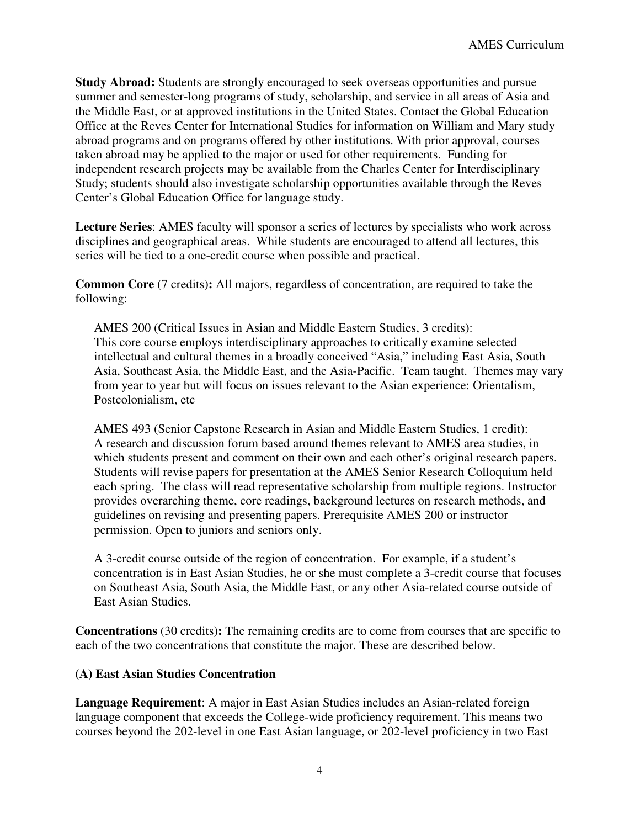**Study Abroad:** Students are strongly encouraged to seek overseas opportunities and pursue summer and semester-long programs of study, scholarship, and service in all areas of Asia and the Middle East, or at approved institutions in the United States. Contact the Global Education Office at the Reves Center for International Studies for information on William and Mary study abroad programs and on programs offered by other institutions. With prior approval, courses taken abroad may be applied to the major or used for other requirements. Funding for independent research projects may be available from the Charles Center for Interdisciplinary Study; students should also investigate scholarship opportunities available through the Reves Center's Global Education Office for language study.

**Lecture Series**: AMES faculty will sponsor a series of lectures by specialists who work across disciplines and geographical areas. While students are encouraged to attend all lectures, this series will be tied to a one-credit course when possible and practical.

**Common Core** (7 credits): All majors, regardless of concentration, are required to take the following:

AMES 200 (Critical Issues in Asian and Middle Eastern Studies, 3 credits): This core course employs interdisciplinary approaches to critically examine selected intellectual and cultural themes in a broadly conceived "Asia," including East Asia, South Asia, Southeast Asia, the Middle East, and the Asia-Pacific. Team taught. Themes may vary from year to year but will focus on issues relevant to the Asian experience: Orientalism, Postcolonialism, etc

AMES 493 (Senior Capstone Research in Asian and Middle Eastern Studies, 1 credit): A research and discussion forum based around themes relevant to AMES area studies, in which students present and comment on their own and each other's original research papers. Students will revise papers for presentation at the AMES Senior Research Colloquium held each spring. The class will read representative scholarship from multiple regions. Instructor provides overarching theme, core readings, background lectures on research methods, and guidelines on revising and presenting papers. Prerequisite AMES 200 or instructor permission. Open to juniors and seniors only.

A 3-credit course outside of the region of concentration. For example, if a student's concentration is in East Asian Studies, he or she must complete a 3-credit course that focuses on Southeast Asia, South Asia, the Middle East, or any other Asia-related course outside of East Asian Studies.

**Concentrations** (30 credits)**:** The remaining credits are to come from courses that are specific to each of the two concentrations that constitute the major. These are described below.

#### **(A) East Asian Studies Concentration**

**Language Requirement**: A major in East Asian Studies includes an Asian-related foreign language component that exceeds the College-wide proficiency requirement. This means two courses beyond the 202-level in one East Asian language, or 202-level proficiency in two East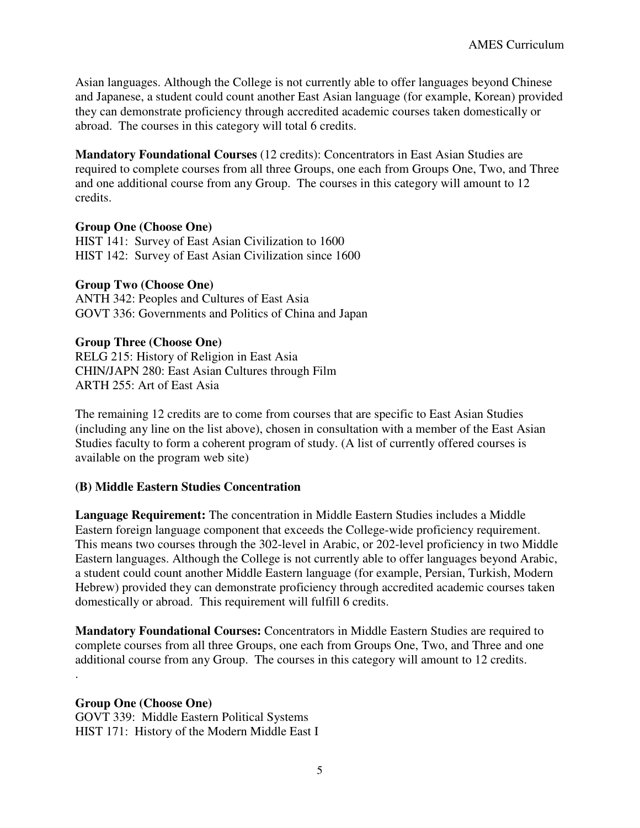Asian languages. Although the College is not currently able to offer languages beyond Chinese and Japanese, a student could count another East Asian language (for example, Korean) provided they can demonstrate proficiency through accredited academic courses taken domestically or abroad. The courses in this category will total 6 credits.

**Mandatory Foundational Courses** (12 credits): Concentrators in East Asian Studies are required to complete courses from all three Groups, one each from Groups One, Two, and Three and one additional course from any Group. The courses in this category will amount to 12 credits.

#### **Group One (Choose One)**

HIST 141: Survey of East Asian Civilization to 1600 HIST 142: Survey of East Asian Civilization since 1600

#### **Group Two (Choose One)**

ANTH 342: Peoples and Cultures of East Asia GOVT 336: Governments and Politics of China and Japan

#### **Group Three (Choose One)**

RELG 215: History of Religion in East Asia CHIN/JAPN 280: East Asian Cultures through Film ARTH 255: Art of East Asia

The remaining 12 credits are to come from courses that are specific to East Asian Studies (including any line on the list above), chosen in consultation with a member of the East Asian Studies faculty to form a coherent program of study. (A list of currently offered courses is available on the program web site)

#### **(B) Middle Eastern Studies Concentration**

**Language Requirement:** The concentration in Middle Eastern Studies includes a Middle Eastern foreign language component that exceeds the College-wide proficiency requirement. This means two courses through the 302-level in Arabic, or 202-level proficiency in two Middle Eastern languages. Although the College is not currently able to offer languages beyond Arabic, a student could count another Middle Eastern language (for example, Persian, Turkish, Modern Hebrew) provided they can demonstrate proficiency through accredited academic courses taken domestically or abroad. This requirement will fulfill 6 credits.

**Mandatory Foundational Courses:** Concentrators in Middle Eastern Studies are required to complete courses from all three Groups, one each from Groups One, Two, and Three and one additional course from any Group. The courses in this category will amount to 12 credits. .

# **Group One (Choose One)**

GOVT 339: Middle Eastern Political Systems HIST 171: History of the Modern Middle East I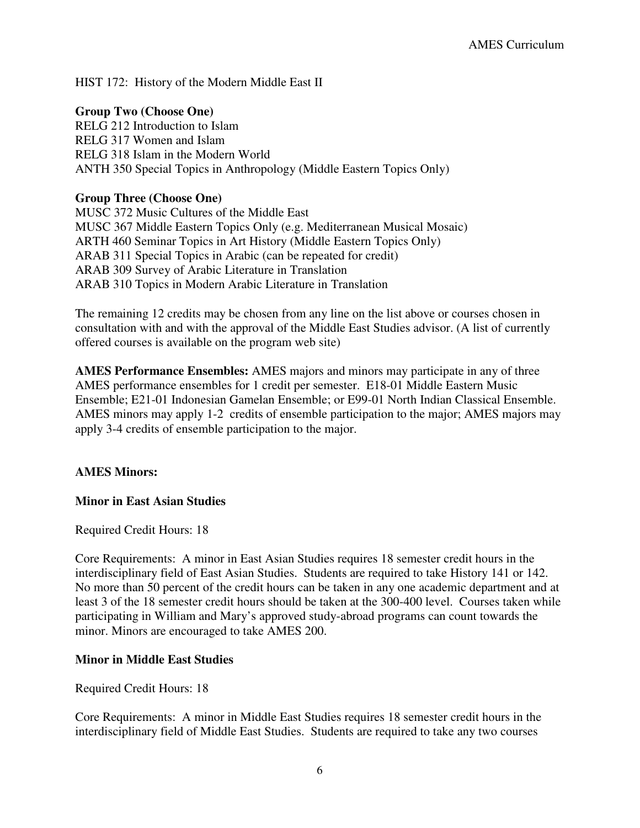HIST 172: History of the Modern Middle East II

## **Group Two (Choose One)**

RELG 212 Introduction to Islam RELG 317 Women and Islam RELG 318 Islam in the Modern World ANTH 350 Special Topics in Anthropology (Middle Eastern Topics Only)

### **Group Three (Choose One)**

MUSC 372 Music Cultures of the Middle East MUSC 367 Middle Eastern Topics Only (e.g. Mediterranean Musical Mosaic) ARTH 460 Seminar Topics in Art History (Middle Eastern Topics Only) ARAB 311 Special Topics in Arabic (can be repeated for credit) ARAB 309 Survey of Arabic Literature in Translation ARAB 310 Topics in Modern Arabic Literature in Translation

The remaining 12 credits may be chosen from any line on the list above or courses chosen in consultation with and with the approval of the Middle East Studies advisor. (A list of currently offered courses is available on the program web site)

**AMES Performance Ensembles:** AMES majors and minors may participate in any of three AMES performance ensembles for 1 credit per semester. E18-01 Middle Eastern Music Ensemble; E21-01 Indonesian Gamelan Ensemble; or E99-01 North Indian Classical Ensemble. AMES minors may apply 1-2 credits of ensemble participation to the major; AMES majors may apply 3-4 credits of ensemble participation to the major.

#### **AMES Minors:**

#### **Minor in East Asian Studies**

#### Required Credit Hours: 18

Core Requirements: A minor in East Asian Studies requires 18 semester credit hours in the interdisciplinary field of East Asian Studies. Students are required to take History 141 or 142. No more than 50 percent of the credit hours can be taken in any one academic department and at least 3 of the 18 semester credit hours should be taken at the 300-400 level. Courses taken while participating in William and Mary's approved study-abroad programs can count towards the minor. Minors are encouraged to take AMES 200.

#### **Minor in Middle East Studies**

Required Credit Hours: 18

Core Requirements: A minor in Middle East Studies requires 18 semester credit hours in the interdisciplinary field of Middle East Studies. Students are required to take any two courses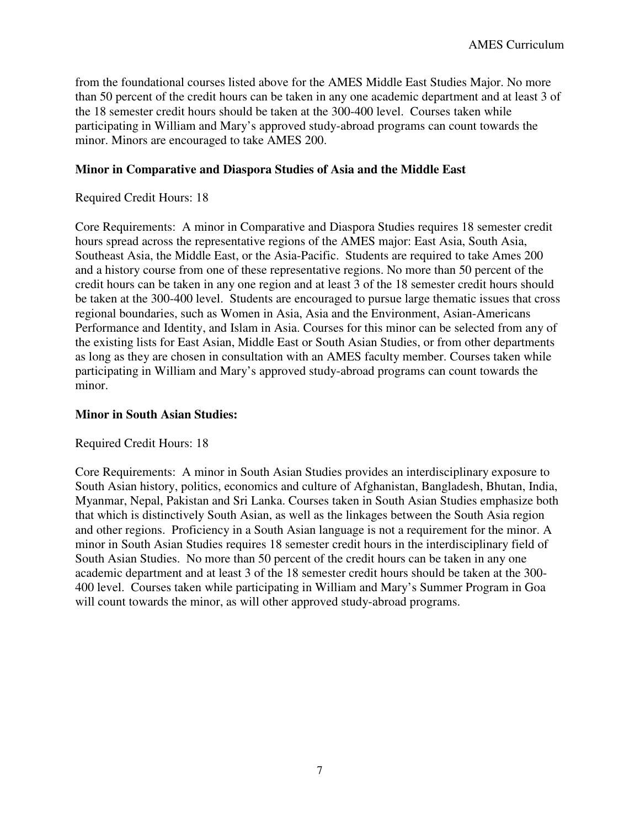from the foundational courses listed above for the AMES Middle East Studies Major. No more than 50 percent of the credit hours can be taken in any one academic department and at least 3 of the 18 semester credit hours should be taken at the 300-400 level. Courses taken while participating in William and Mary's approved study-abroad programs can count towards the minor. Minors are encouraged to take AMES 200.

## **Minor in Comparative and Diaspora Studies of Asia and the Middle East**

### Required Credit Hours: 18

Core Requirements: A minor in Comparative and Diaspora Studies requires 18 semester credit hours spread across the representative regions of the AMES major: East Asia, South Asia, Southeast Asia, the Middle East, or the Asia-Pacific. Students are required to take Ames 200 and a history course from one of these representative regions. No more than 50 percent of the credit hours can be taken in any one region and at least 3 of the 18 semester credit hours should be taken at the 300-400 level. Students are encouraged to pursue large thematic issues that cross regional boundaries, such as Women in Asia, Asia and the Environment, Asian-Americans Performance and Identity, and Islam in Asia. Courses for this minor can be selected from any of the existing lists for East Asian, Middle East or South Asian Studies, or from other departments as long as they are chosen in consultation with an AMES faculty member. Courses taken while participating in William and Mary's approved study-abroad programs can count towards the minor.

#### **Minor in South Asian Studies:**

#### Required Credit Hours: 18

Core Requirements: A minor in South Asian Studies provides an interdisciplinary exposure to South Asian history, politics, economics and culture of Afghanistan, Bangladesh, Bhutan, India, Myanmar, Nepal, Pakistan and Sri Lanka. Courses taken in South Asian Studies emphasize both that which is distinctively South Asian, as well as the linkages between the South Asia region and other regions. Proficiency in a South Asian language is not a requirement for the minor. A minor in South Asian Studies requires 18 semester credit hours in the interdisciplinary field of South Asian Studies. No more than 50 percent of the credit hours can be taken in any one academic department and at least 3 of the 18 semester credit hours should be taken at the 300- 400 level. Courses taken while participating in William and Mary's Summer Program in Goa will count towards the minor, as will other approved study-abroad programs.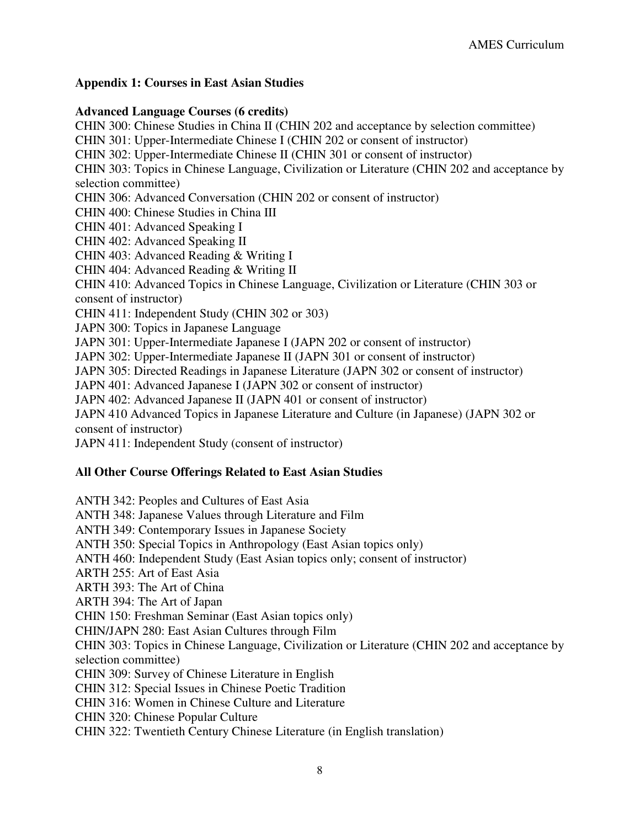### **Appendix 1: Courses in East Asian Studies**

#### **Advanced Language Courses (6 credits)**

CHIN 300: Chinese Studies in China II (CHIN 202 and acceptance by selection committee) CHIN 301: Upper-Intermediate Chinese I (CHIN 202 or consent of instructor) CHIN 302: Upper-Intermediate Chinese II (CHIN 301 or consent of instructor) CHIN 303: Topics in Chinese Language, Civilization or Literature (CHIN 202 and acceptance by selection committee) CHIN 306: Advanced Conversation (CHIN 202 or consent of instructor) CHIN 400: Chinese Studies in China III CHIN 401: Advanced Speaking I CHIN 402: Advanced Speaking II CHIN 403: Advanced Reading & Writing I CHIN 404: Advanced Reading & Writing II CHIN 410: Advanced Topics in Chinese Language, Civilization or Literature (CHIN 303 or consent of instructor) CHIN 411: Independent Study (CHIN 302 or 303) JAPN 300: Topics in Japanese Language JAPN 301: Upper-Intermediate Japanese I (JAPN 202 or consent of instructor) JAPN 302: Upper-Intermediate Japanese II (JAPN 301 or consent of instructor) JAPN 305: Directed Readings in Japanese Literature (JAPN 302 or consent of instructor) JAPN 401: Advanced Japanese I (JAPN 302 or consent of instructor) JAPN 402: Advanced Japanese II (JAPN 401 or consent of instructor) JAPN 410 Advanced Topics in Japanese Literature and Culture (in Japanese) (JAPN 302 or consent of instructor) JAPN 411: Independent Study (consent of instructor)

## **All Other Course Offerings Related to East Asian Studies**

ANTH 342: Peoples and Cultures of East Asia ANTH 348: Japanese Values through Literature and Film ANTH 349: Contemporary Issues in Japanese Society ANTH 350: Special Topics in Anthropology (East Asian topics only) ANTH 460: Independent Study (East Asian topics only; consent of instructor) ARTH 255: Art of East Asia ARTH 393: The Art of China ARTH 394: The Art of Japan CHIN 150: Freshman Seminar (East Asian topics only) CHIN/JAPN 280: East Asian Cultures through Film CHIN 303: Topics in Chinese Language, Civilization or Literature (CHIN 202 and acceptance by selection committee) CHIN 309: Survey of Chinese Literature in English CHIN 312: Special Issues in Chinese Poetic Tradition CHIN 316: Women in Chinese Culture and Literature CHIN 320: Chinese Popular Culture CHIN 322: Twentieth Century Chinese Literature (in English translation)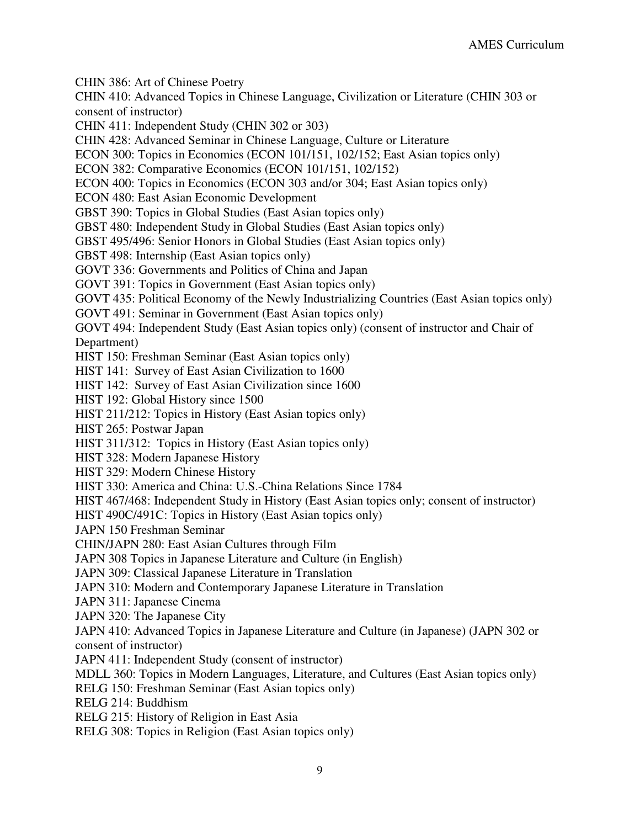CHIN 386: Art of Chinese Poetry

CHIN 410: Advanced Topics in Chinese Language, Civilization or Literature (CHIN 303 or consent of instructor)

CHIN 411: Independent Study (CHIN 302 or 303)

CHIN 428: Advanced Seminar in Chinese Language, Culture or Literature

ECON 300: Topics in Economics (ECON 101/151, 102/152; East Asian topics only)

ECON 382: Comparative Economics (ECON 101/151, 102/152)

ECON 400: Topics in Economics (ECON 303 and/or 304; East Asian topics only)

ECON 480: East Asian Economic Development

GBST 390: Topics in Global Studies (East Asian topics only)

GBST 480: Independent Study in Global Studies (East Asian topics only)

GBST 495/496: Senior Honors in Global Studies (East Asian topics only)

GBST 498: Internship (East Asian topics only)

GOVT 336: Governments and Politics of China and Japan

GOVT 391: Topics in Government (East Asian topics only)

GOVT 435: Political Economy of the Newly Industrializing Countries (East Asian topics only)

GOVT 491: Seminar in Government (East Asian topics only)

GOVT 494: Independent Study (East Asian topics only) (consent of instructor and Chair of Department)

HIST 150: Freshman Seminar (East Asian topics only)

HIST 141: Survey of East Asian Civilization to 1600

HIST 142: Survey of East Asian Civilization since 1600

HIST 192: Global History since 1500

HIST 211/212: Topics in History (East Asian topics only)

HIST 265: Postwar Japan

HIST 311/312: Topics in History (East Asian topics only)

HIST 328: Modern Japanese History

HIST 329: Modern Chinese History

HIST 330: America and China: U.S.-China Relations Since 1784

HIST 467/468: Independent Study in History (East Asian topics only; consent of instructor)

HIST 490C/491C: Topics in History (East Asian topics only)

JAPN 150 Freshman Seminar

CHIN/JAPN 280: East Asian Cultures through Film

JAPN 308 Topics in Japanese Literature and Culture (in English)

JAPN 309: Classical Japanese Literature in Translation

JAPN 310: Modern and Contemporary Japanese Literature in Translation

JAPN 311: Japanese Cinema

JAPN 320: The Japanese City

JAPN 410: Advanced Topics in Japanese Literature and Culture (in Japanese) (JAPN 302 or consent of instructor)

JAPN 411: Independent Study (consent of instructor)

MDLL 360: Topics in Modern Languages, Literature, and Cultures (East Asian topics only)

RELG 150: Freshman Seminar (East Asian topics only)

RELG 214: Buddhism

RELG 215: History of Religion in East Asia

RELG 308: Topics in Religion (East Asian topics only)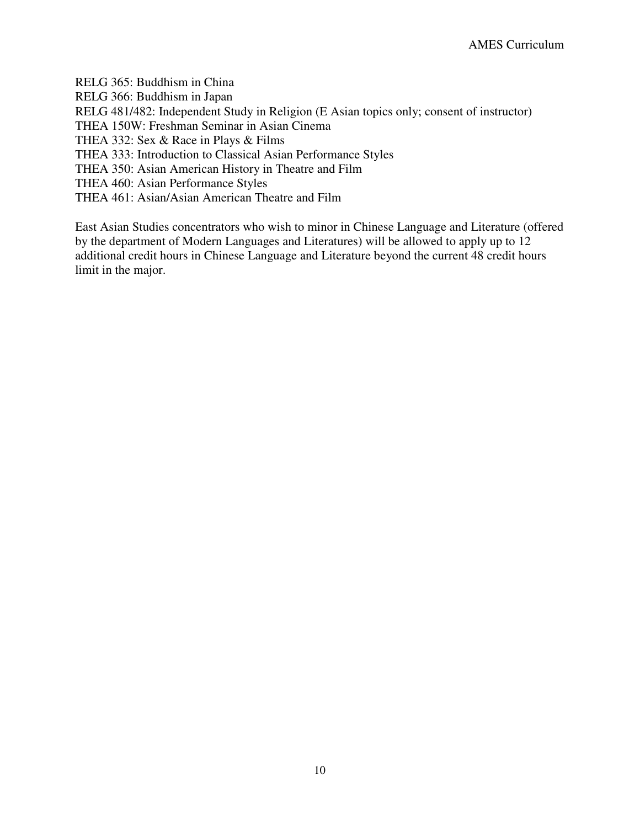RELG 365: Buddhism in China RELG 366: Buddhism in Japan RELG 481/482: Independent Study in Religion (E Asian topics only; consent of instructor) THEA 150W: Freshman Seminar in Asian Cinema THEA 332: Sex & Race in Plays & Films THEA 333: Introduction to Classical Asian Performance Styles THEA 350: Asian American History in Theatre and Film THEA 460: Asian Performance Styles THEA 461: Asian/Asian American Theatre and Film

East Asian Studies concentrators who wish to minor in Chinese Language and Literature (offered by the department of Modern Languages and Literatures) will be allowed to apply up to 12 additional credit hours in Chinese Language and Literature beyond the current 48 credit hours limit in the major.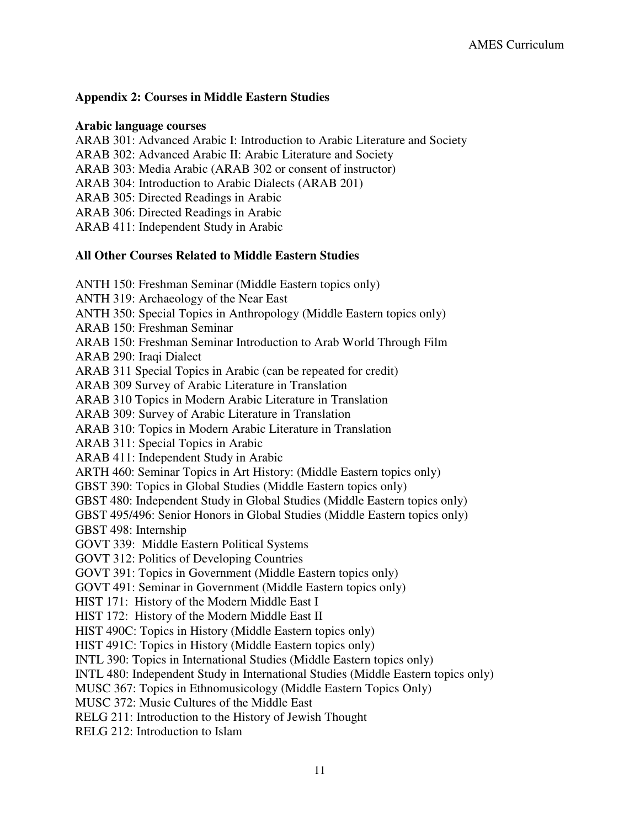## **Appendix 2: Courses in Middle Eastern Studies**

#### **Arabic language courses**

ARAB 301: Advanced Arabic I: Introduction to Arabic Literature and Society ARAB 302: Advanced Arabic II: Arabic Literature and Society ARAB 303: Media Arabic (ARAB 302 or consent of instructor) ARAB 304: Introduction to Arabic Dialects (ARAB 201) ARAB 305: Directed Readings in Arabic ARAB 306: Directed Readings in Arabic ARAB 411: Independent Study in Arabic

## **All Other Courses Related to Middle Eastern Studies**

ANTH 150: Freshman Seminar (Middle Eastern topics only) ANTH 319: Archaeology of the Near East ANTH 350: Special Topics in Anthropology (Middle Eastern topics only) ARAB 150: Freshman Seminar ARAB 150: Freshman Seminar Introduction to Arab World Through Film ARAB 290: Iraqi Dialect ARAB 311 Special Topics in Arabic (can be repeated for credit) ARAB 309 Survey of Arabic Literature in Translation ARAB 310 Topics in Modern Arabic Literature in Translation ARAB 309: Survey of Arabic Literature in Translation ARAB 310: Topics in Modern Arabic Literature in Translation ARAB 311: Special Topics in Arabic ARAB 411: Independent Study in Arabic ARTH 460: Seminar Topics in Art History: (Middle Eastern topics only) GBST 390: Topics in Global Studies (Middle Eastern topics only) GBST 480: Independent Study in Global Studies (Middle Eastern topics only) GBST 495/496: Senior Honors in Global Studies (Middle Eastern topics only) GBST 498: Internship GOVT 339: Middle Eastern Political Systems GOVT 312: Politics of Developing Countries GOVT 391: Topics in Government (Middle Eastern topics only) GOVT 491: Seminar in Government (Middle Eastern topics only) HIST 171: History of the Modern Middle East I HIST 172: History of the Modern Middle East II HIST 490C: Topics in History (Middle Eastern topics only) HIST 491C: Topics in History (Middle Eastern topics only) INTL 390: Topics in International Studies (Middle Eastern topics only) INTL 480: Independent Study in International Studies (Middle Eastern topics only) MUSC 367: Topics in Ethnomusicology (Middle Eastern Topics Only) MUSC 372: Music Cultures of the Middle East RELG 211: Introduction to the History of Jewish Thought

RELG 212: Introduction to Islam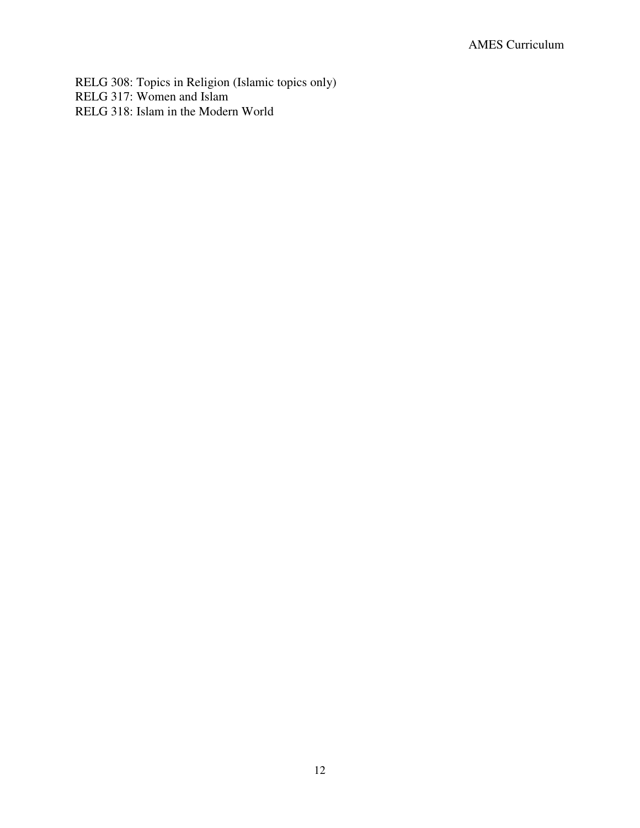RELG 308: Topics in Religion (Islamic topics only) RELG 317: Women and Islam RELG 318: Islam in the Modern World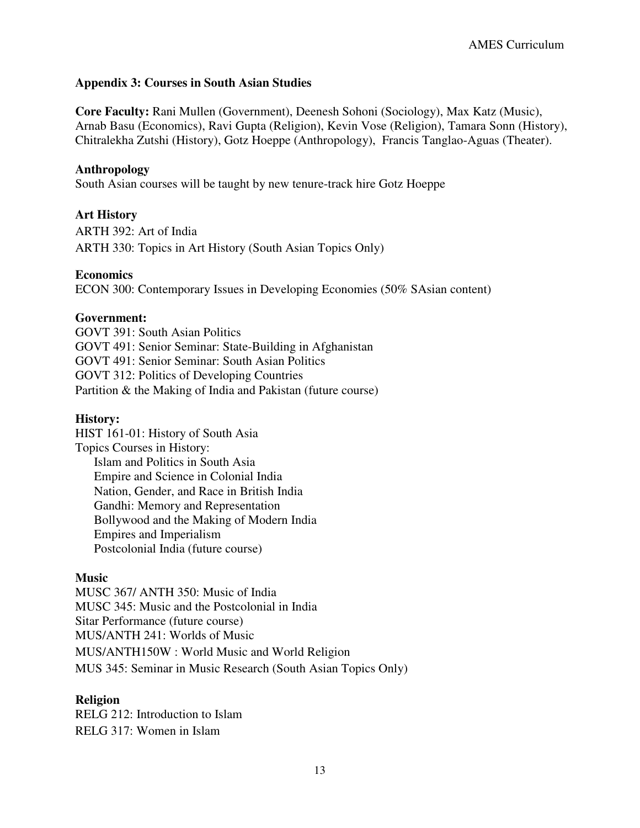### **Appendix 3: Courses in South Asian Studies**

**Core Faculty:** Rani Mullen (Government), Deenesh Sohoni (Sociology), Max Katz (Music), Arnab Basu (Economics), Ravi Gupta (Religion), Kevin Vose (Religion), Tamara Sonn (History), Chitralekha Zutshi (History), Gotz Hoeppe (Anthropology), Francis Tanglao-Aguas (Theater).

#### **Anthropology**

South Asian courses will be taught by new tenure-track hire Gotz Hoeppe

#### **Art History**

ARTH 392: Art of India ARTH 330: Topics in Art History (South Asian Topics Only)

#### **Economics**

ECON 300: Contemporary Issues in Developing Economies (50% SAsian content)

#### **Government:**

GOVT 391: South Asian Politics GOVT 491: Senior Seminar: State-Building in Afghanistan GOVT 491: Senior Seminar: South Asian Politics GOVT 312: Politics of Developing Countries Partition & the Making of India and Pakistan (future course)

#### **History:**

HIST 161-01: History of South Asia Topics Courses in History: Islam and Politics in South Asia Empire and Science in Colonial India Nation, Gender, and Race in British India Gandhi: Memory and Representation Bollywood and the Making of Modern India Empires and Imperialism Postcolonial India (future course)

#### **Music**

MUSC 367/ ANTH 350: Music of India MUSC 345: Music and the Postcolonial in India Sitar Performance (future course) MUS/ANTH 241: Worlds of Music MUS/ANTH150W : World Music and World Religion MUS 345: Seminar in Music Research (South Asian Topics Only)

#### **Religion**

RELG 212: Introduction to Islam RELG 317: Women in Islam